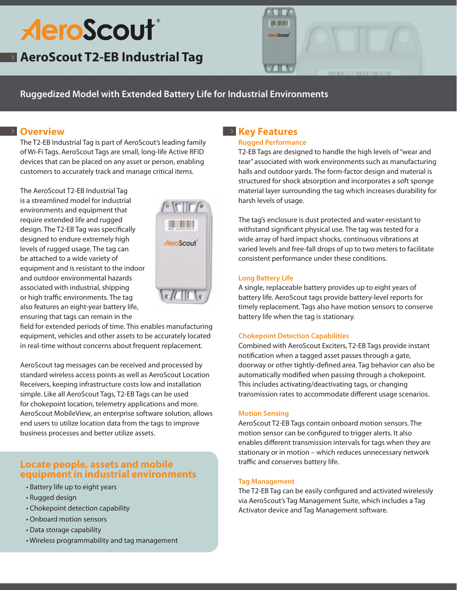# **AeroScout**®

**AeroScout T2-EB Industrial Tag**



**Ruggedized Model with Extended Battery Life for Industrial Environments**

# **Overview**

The T2-EB Industrial Tag is part of AeroScout's leading family of Wi-Fi Tags. AeroScout Tags are small, long-life Active RFID devices that can be placed on any asset or person, enabling customers to accurately track and manage critical items.

The AeroScout T2-EB Industrial Tag is a streamlined model for industrial environments and equipment that require extended life and rugged design. The T2-EB Tag was specifically designed to endure extremely high levels of rugged usage. The tag can be attached to a wide variety of equipment and is resistant to the indoor and outdoor environmental hazards associated with industrial, shipping or high traffic environments. The tag also features an eight-year battery life, ensuring that tags can remain in the



field for extended periods of time. This enables manufacturing equipment, vehicles and other assets to be accurately located in real-time without concerns about frequent replacement.

AeroScout tag messages can be received and processed by standard wireless access points as well as AeroScout Location Receivers, keeping infrastructure costs low and installation simple. Like all AeroScout Tags, T2-EB Tags can be used for chokepoint location, telemetry applications and more. AeroScout MobileView, an enterprise software solution, allows end users to utilize location data from the tags to improve business processes and better utilize assets.

# **Locate people, assets and mobile equipment in industrial environments**

- Battery life up to eight years
- Rugged design
- Chokepoint detection capability
- Onboard motion sensors
- Data storage capability
- Wireless programmability and tag management

# **EXECTE REALLY**

## **Rugged Performance**

T2-EB Tags are designed to handle the high levels of "wear and tear" associated with work environments such as manufacturing halls and outdoor yards. The form-factor design and material is structured for shock absorption and incorporates a soft sponge material layer surrounding the tag which increases durability for harsh levels of usage.

The tag's enclosure is dust protected and water-resistant to withstand significant physical use. The tag was tested for a wide array of hard impact shocks, continuous vibrations at varied levels and free-fall drops of up to two meters to facilitate consistent performance under these conditions.

# **Long Battery Life**

A single, replaceable battery provides up to eight years of battery life. AeroScout tags provide battery-level reports for timely replacement. Tags also have motion sensors to conserve battery life when the tag is stationary.

# **Chokepoint Detection Capabilities**

Combined with AeroScout Exciters, T2-EB Tags provide instant notification when a tagged asset passes through a gate, doorway or other tightly-defined area. Tag behavior can also be automatically modified when passing through a chokepoint. This includes activating/deactivating tags, or changing transmission rates to accommodate different usage scenarios.

# **Motion Sensing**

AeroScout T2-EB Tags contain onboard motion sensors. The motion sensor can be configured to trigger alerts. It also enables different transmission intervals for tags when they are stationary or in motion – which reduces unnecessary network traffic and conserves battery life.

# **Tag Management**

The T2-EB Tag can be easily configured and activated wirelessly via AeroScout's Tag Management Suite, which includes a Tag Activator device and Tag Management software.